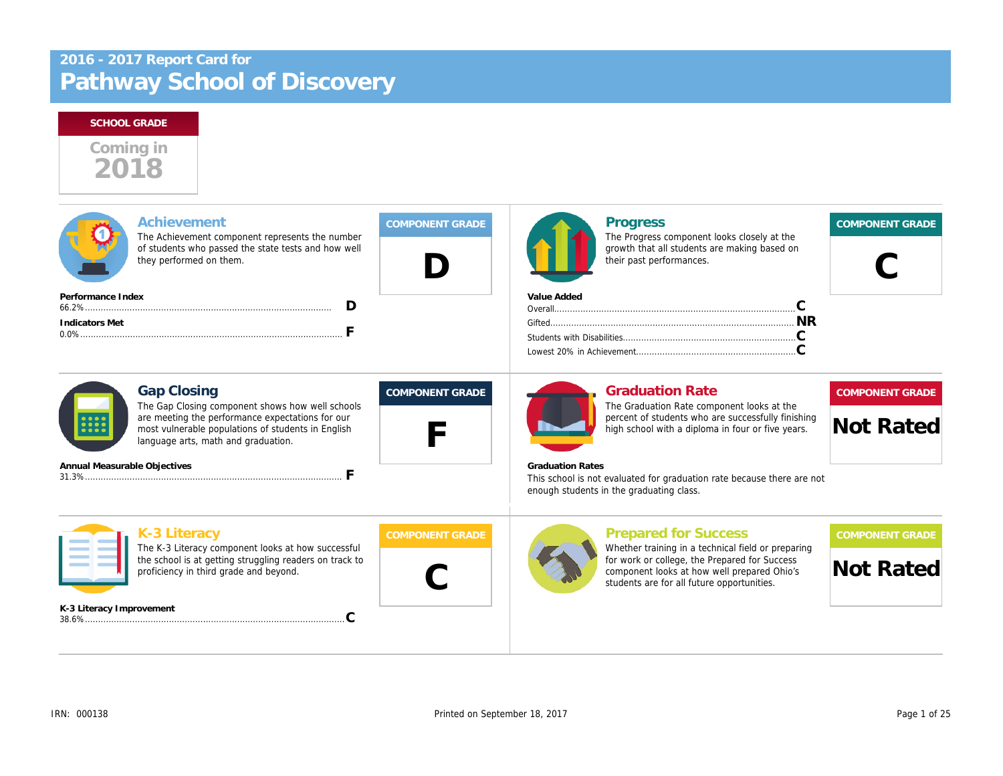## **SCHOOL GRADE**



| Achievement<br>The Achievement component represents the number<br>of students who passed the state tests and how well<br>they performed on them. | <b>COMPONENT GRADE</b> | Progress<br>The Progress component looks closely at the<br>growth that all students are making based on<br>their past performances.        | <b>COMPONENT GRADE</b> |
|--------------------------------------------------------------------------------------------------------------------------------------------------|------------------------|--------------------------------------------------------------------------------------------------------------------------------------------|------------------------|
| Performance Index                                                                                                                                |                        | Value Added                                                                                                                                |                        |
| Indicators Met                                                                                                                                   |                        |                                                                                                                                            |                        |
|                                                                                                                                                  |                        |                                                                                                                                            |                        |
| <b>Gap Closing</b><br>The Gap Closing component shows how well schools                                                                           | <b>COMPONENT GRADE</b> | <b>Graduation Rate</b><br>The Graduation Rate component looks at the                                                                       | <b>COMPONENT GRADE</b> |
| are meeting the performance expectations for our<br>most vulnerable populations of students in English<br>language arts, math and graduation.    |                        | percent of students who are successfully finishing<br>high school with a diploma in four or five years.                                    | <b>Not Rated</b>       |
| Annual Measurable Objectives                                                                                                                     |                        | <b>Graduation Rates</b>                                                                                                                    |                        |
|                                                                                                                                                  |                        | This school is not evaluated for graduation rate because there are not<br>enough students in the graduating class.                         |                        |
| K-3 Literacy<br>The K-3 Literacy component looks at how successful                                                                               | <b>COMPONENT GRADE</b> | <b>Prepared for Success</b><br>Whether training in a technical field or preparing                                                          | <b>COMPONENT GRADE</b> |
| the school is at getting struggling readers on track to<br>proficiency in third grade and beyond.                                                |                        | for work or college, the Prepared for Success<br>component looks at how well prepared Ohio's<br>students are for all future opportunities. | <b>Not Rated</b>       |
| K-3 Literacy Improvement                                                                                                                         |                        |                                                                                                                                            |                        |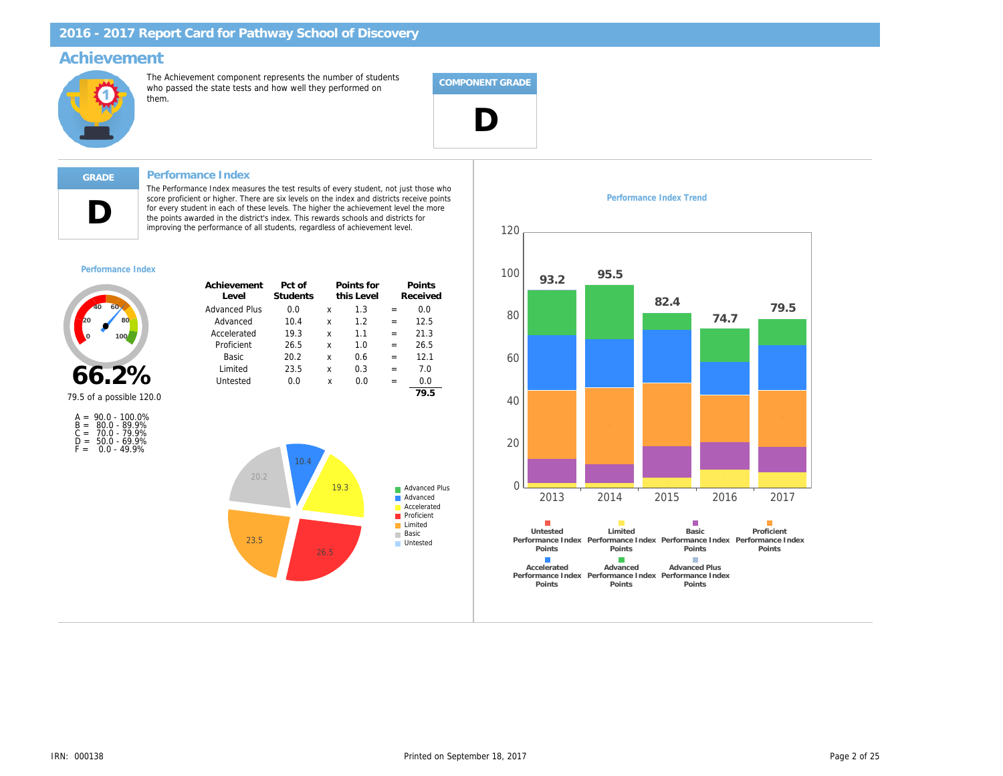## **Achievement**



The Achievement component represents the number of students who passed the state tests and how well they performed on them.



# **D**

#### **GRADE Performance Index**

The Performance Index measures the test results of every student, not just those who score proficient or higher. There are six levels on the index and districts receive points for every student in each of these levels. The higher the achievement level the more the points awarded in the district's index. This rewards schools and districts for improving the performance of all students, regardless of achievement level.

#### *Performance Index*



| Achievement          | Pct of   |   | Points for |     | Points   |
|----------------------|----------|---|------------|-----|----------|
| Level                | Students |   | this Level |     | Received |
| <b>Advanced Plus</b> | 0.0      | x | 1.3        | $=$ | 0.0      |
| Advanced             | 10.4     | x | 1.2        | $=$ | 12.5     |
| Accelerated          | 19.3     | x | 1.1        | $=$ | 21.3     |
| Proficient           | 26.5     | x | 1.0        | $=$ | 26.5     |
| <b>Basic</b>         | 20.2     | x | 0.6        | $=$ | 12.1     |
| Limited              | 23.5     | x | 0.3        | $=$ | 7.0      |
| Untested             | 0.0      | X | 0.0        | $=$ | 0.0      |
|                      |          |   |            |     | 70 E     |



A = 90.0 - 100.0% B = 80.0 - 89.9% C = 70.0 - 79.9% D = 50.0 - 69.9% F = 0.0 - 49.9%





#### *Performance Index Trend*

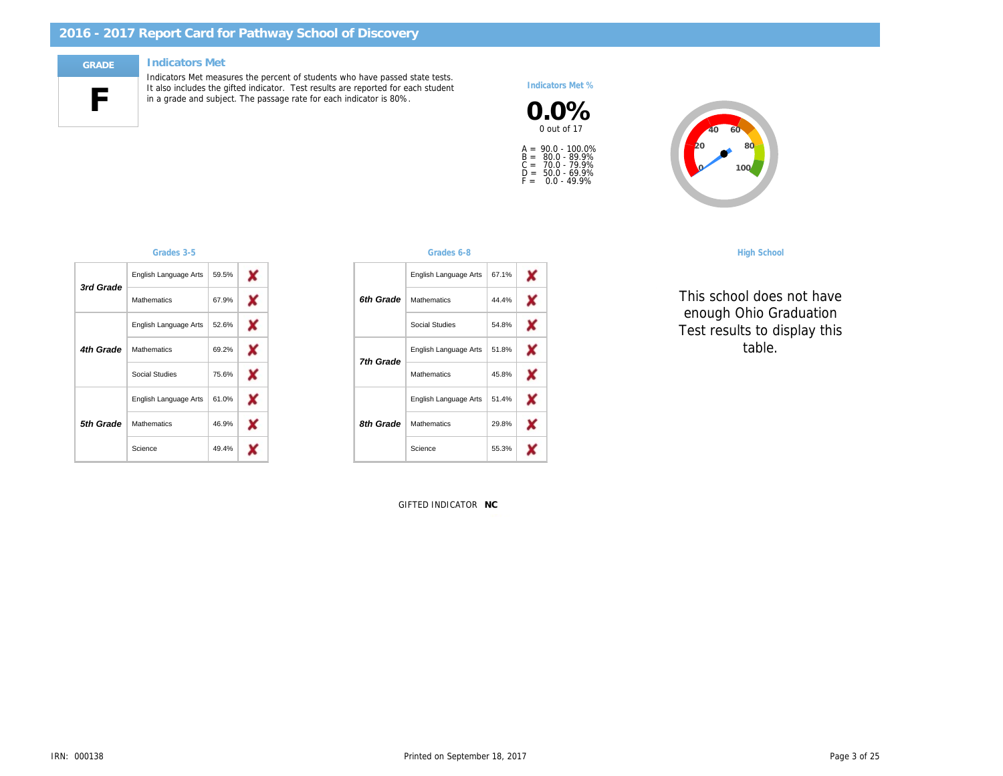# **F**

#### **GRADE Indicators Met**

Indicators Met measures the percent of students who have passed state tests. It also includes the gifted indicator. Test results are reported for each student in a grade and subject. The passage rate for each indicator is 80%.

#### *Indicators Met %*





*Grades 3-5 Grades 6-8 High School*

*This school does not have enough Ohio Graduation Test results to display this table.*

|  | Grades |  |
|--|--------|--|
|  |        |  |
|  |        |  |

| 3rd Grade | English Language Arts | 59.5% |   |
|-----------|-----------------------|-------|---|
|           | <b>Mathematics</b>    | 67.9% | x |
|           | English Language Arts | 52.6% | x |
| 4th Grade | <b>Mathematics</b>    | 69.2% |   |
|           | Social Studies        | 75.6% | x |
|           | English Language Arts | 61.0% |   |
| 5th Grade | <b>Mathematics</b>    | 46.9% |   |
|           | Science               | 49.4% |   |

GIFTED INDICATOR **NC**

English Language Arts

67.1% 44.4% 54.8% 51.8% 45.8% 51.4% 29.8% 55.3%

× × X × × × X x

English Language Arts

English Language Arts

Mathematics Social Studies

Mathematics

Mathematics

Science

*6th Grade*

*7th Grade*

*8th Grade*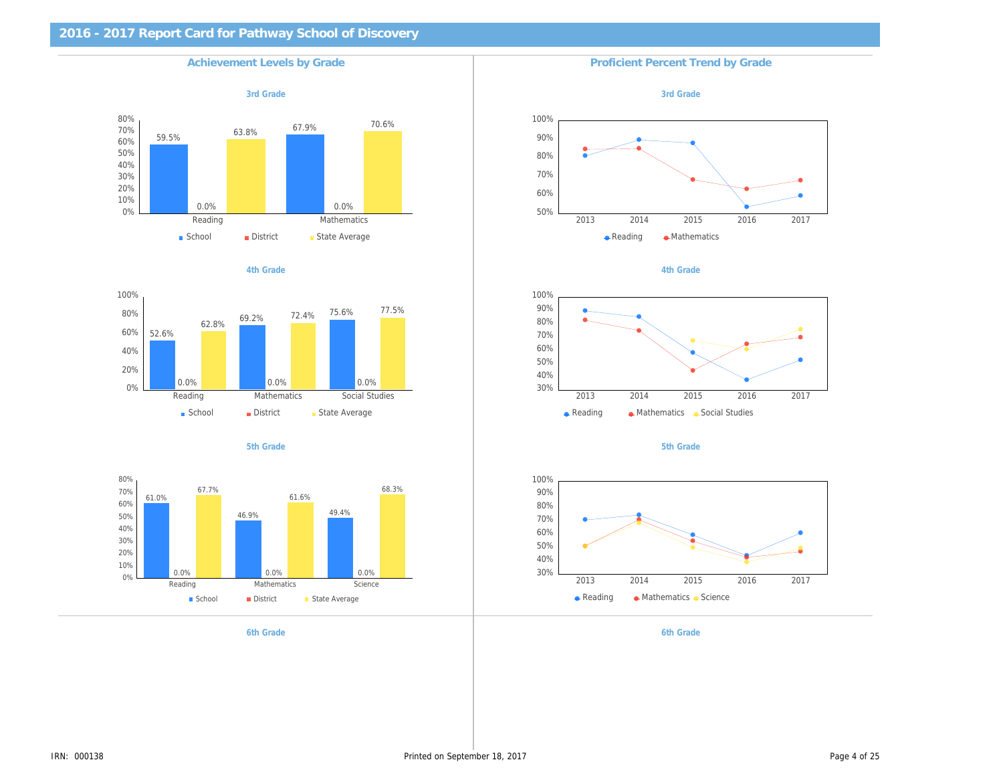









*6th Grade 6th Grade*

**Achievement Levels by Grade Proficient Percent Trend by Grade Proficient Percent Trend by Grade** 

*3rd Grade*









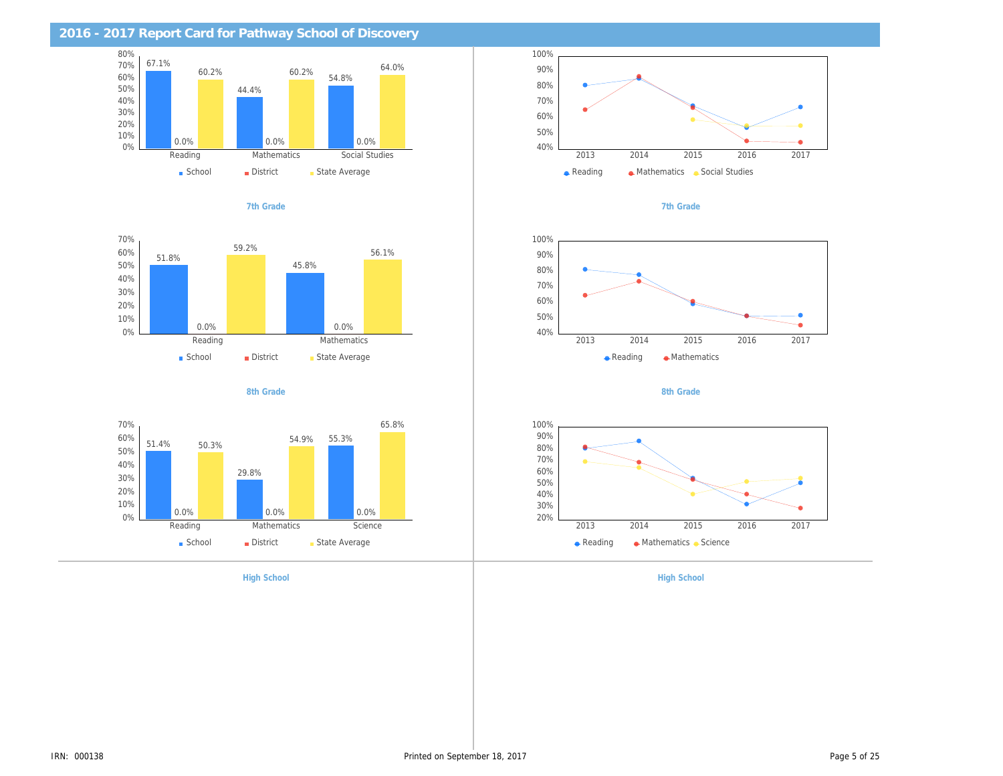











*High School High School*







*8th Grade*

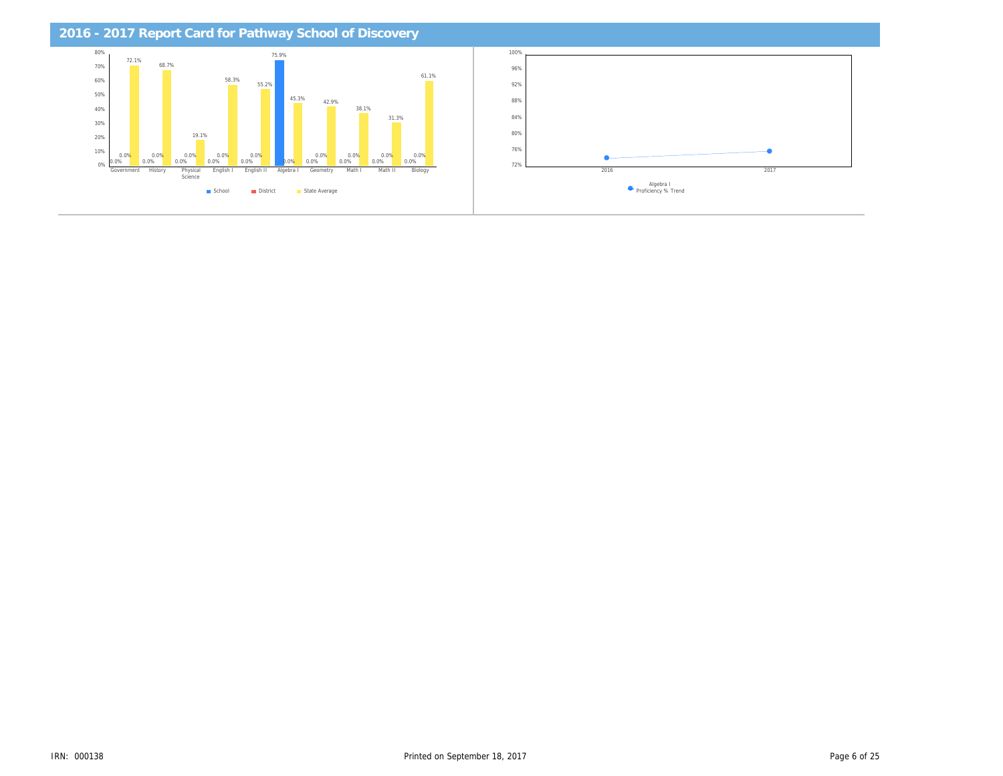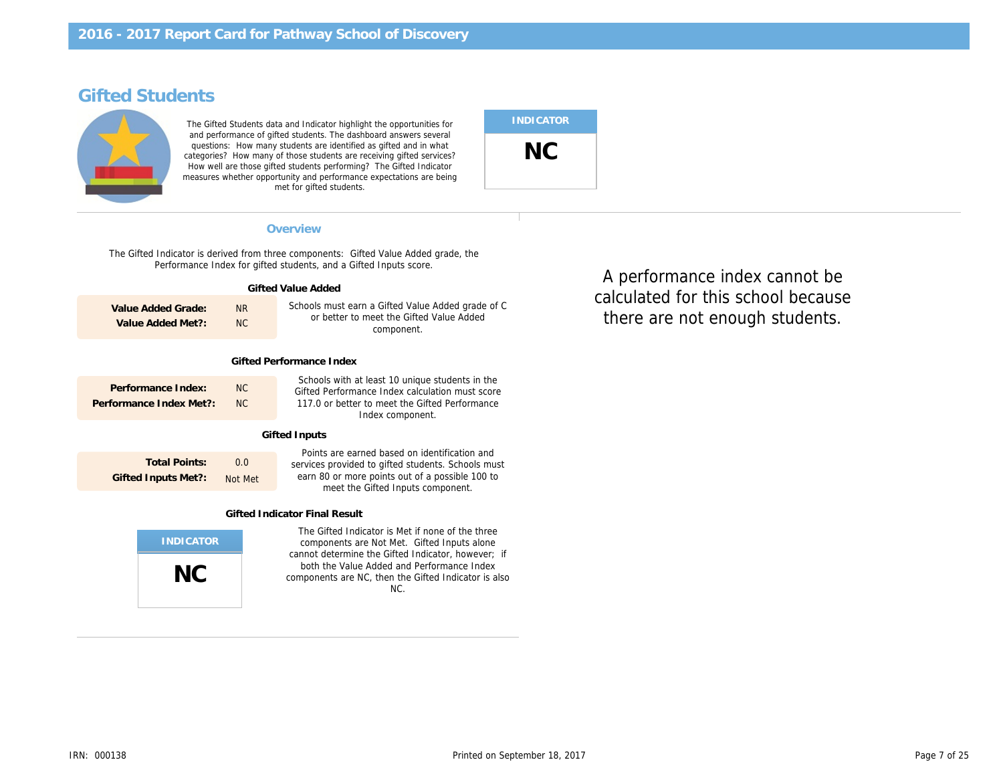## **Gifted Students**



The Gifted Students data and Indicator highlight the opportunities for and performance of gifted students. The dashboard answers several questions: How many students are identified as gifted and in what categories? How many of those students are receiving gifted services? How well are those gifted students performing? The Gifted Indicator measures whether opportunity and performance expectations are being met for gifted students.

| <b>INDICATOR</b> |  |
|------------------|--|
| NС               |  |

### **Overview Performance Indexnational control in the set of**  $\mathbb{P}$  **in the set of**  $\mathbb{P}$  **in the set of**  $\mathbb{P}$  **in the set of**  $\mathbb{P}$  **in the set of**  $\mathbb{P}$  **in the set of**  $\mathbb{P}$  **in the set of**  $\mathbb{P}$  **in the set of**

The Gifted Indicator is derived from three components: Gifted Value Added grade, the Performance Index for gifted students, and a Gifted Inputs score.

| Gifted Value Added                           |                      |                                                                                                                                                                          |  |  |
|----------------------------------------------|----------------------|--------------------------------------------------------------------------------------------------------------------------------------------------------------------------|--|--|
| Value Added Grade:<br>Value Added Met?:      | N <sub>R</sub><br>NC | Schools must earn a Gifted Value Added grade of C<br>or better to meet the Gifted Value Added<br>component.                                                              |  |  |
| Gifted Performance Index                     |                      |                                                                                                                                                                          |  |  |
| Performance Index:<br>Performance Index Met? | NC<br>NC             | Schools with at least 10 unique students in the<br>Gifted Performance Index calculation must score<br>117.0 or better to meet the Gifted Performance<br>Index component. |  |  |
| Gifted Inputs                                |                      |                                                                                                                                                                          |  |  |
| Total Dointer                                | $\cap$ $\cap$        | Points are earned based on identification and                                                                                                                            |  |  |

**Total Points: Gifted Inputs Met?:** 0.0 Not Met services provided to gifted students. Schools must earn 80 or more points out of a possible 100 to meet the Gifted Inputs component.

#### **Gifted Indicator Final Result**



The Gifted Indicator is Met if none of the three components are Not Met. Gifted Inputs alone cannot determine the Gifted Indicator, however; if both the Value Added and Performance Index components are NC, then the Gifted Indicator is also NC.

calculated for this school because **Level Students this Level** there are not enough students. Math and taking the Math test), or taken by students identified with A performance index cannot be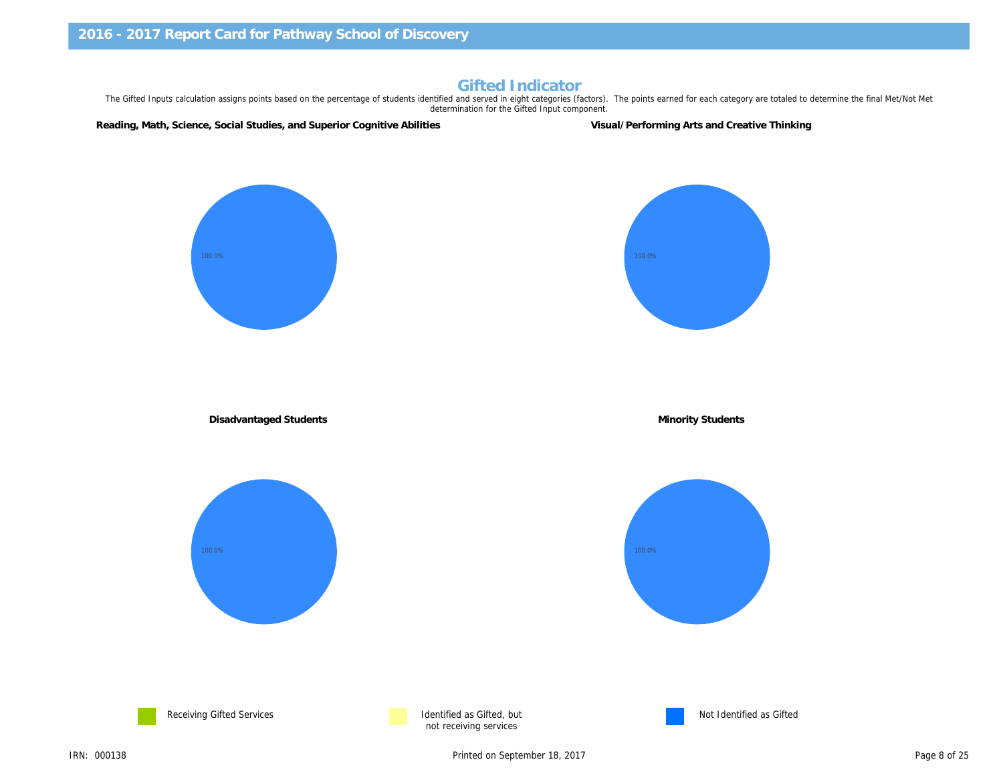## **Gifted Indicator**

The Gifted Inputs calculation assigns points based on the percentage of students identified and served in eight categories (factors). The points earned for each category are totaled to determine the final Met/Not Met determination for the Gifted Input component.

**Reading, Math, Science, Social Studies, and Superior Cognitive Abilities Visual/Performing Arts and Creative Thinking**

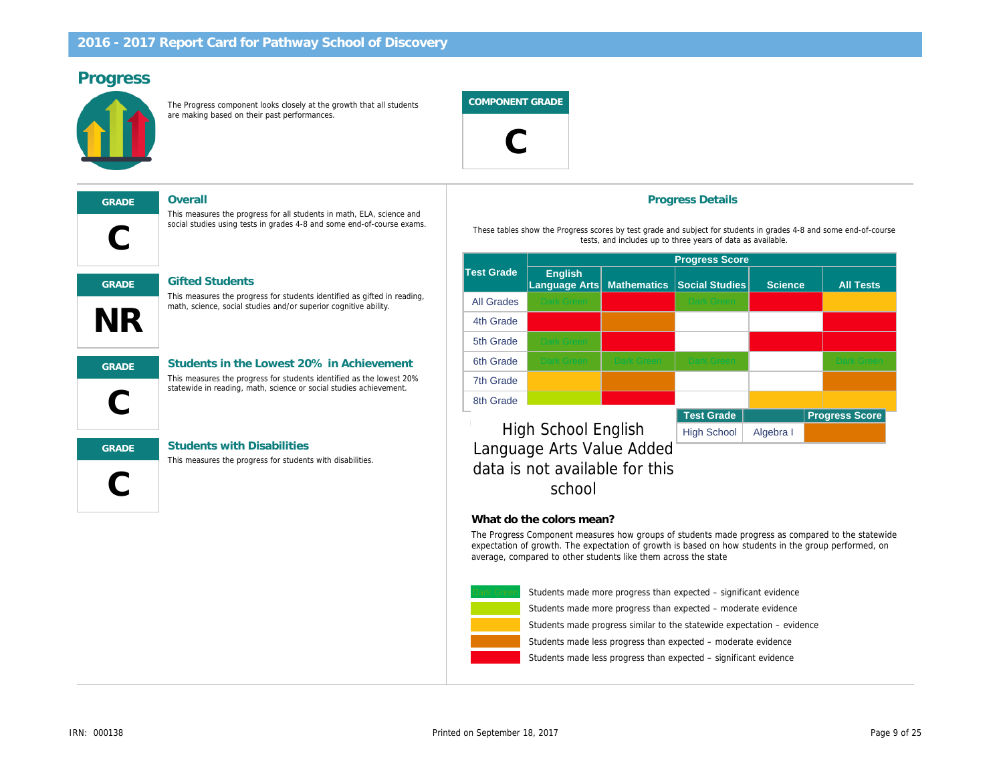## **Progress**



The Progress component looks closely at the growth that all students are making based on their past performances.

**COMPONENT GRADE**



## **C GRADE Overall**

#### **GRADE Gifted Students**

This measures the progress for students identified as gifted in reading, math, science, social studies and/or superior cognitive ability.

This measures the progress for all students in math, ELA, science and social studies using tests in grades 4-8 and some end-of-course exams.



**NR**

#### **GRADE Students in the Lowest 20% in Achievement** This measures the progress for students identified as the lowest 20% statewide in reading, math, science or social studies achievement.

This measures the progress for students with disabilities.

**C GRADE Students with Disabilities**

### **Progress Details**

These tables show the Progress scores by test grade and subject for students in grades 4-8 and some end-of-course tests, and includes up to three years of data as available.

|                   | <b>Progress Score</b>                  |                    |                       |          |                       |
|-------------------|----------------------------------------|--------------------|-----------------------|----------|-----------------------|
| Test Grade        | <b>English</b><br><b>Language Arts</b> | <b>Mathematics</b> | <b>Social Studies</b> | Science, | <b>All Tests</b>      |
| <b>All Grades</b> | <b>Dark Green</b>                      |                    | <b>Dark Green</b>     |          |                       |
| 4th Grade         |                                        |                    |                       |          |                       |
| 5th Grade         | <b>Dark Green</b>                      |                    |                       |          |                       |
| 6th Grade         | Dark Green                             | <b>Dark Green</b>  | <b>Dark Green</b>     |          | <b>Dark Green</b>     |
| 7th Grade         |                                        |                    |                       |          |                       |
| 8th Grade         |                                        |                    |                       |          |                       |
|                   |                                        | . .                | <b>Test Grade</b>     |          | <b>Progress Score</b> |

## High School English High School Algebra I *Language Arts Value Added data is not available for this school*

#### **What do the colors mean?**

The Progress Component measures how groups of students made progress as compared to the statewide expectation of growth. The expectation of growth is based on how students in the group performed, on average, compared to other students like them across the state



Students made more progress than expected – significant evidence

Students made more progress than expected – moderate evidence

Students made progress similar to the statewide expectation – evidence

Students made less progress than expected – moderate evidence

Students made less progress than expected – significant evidence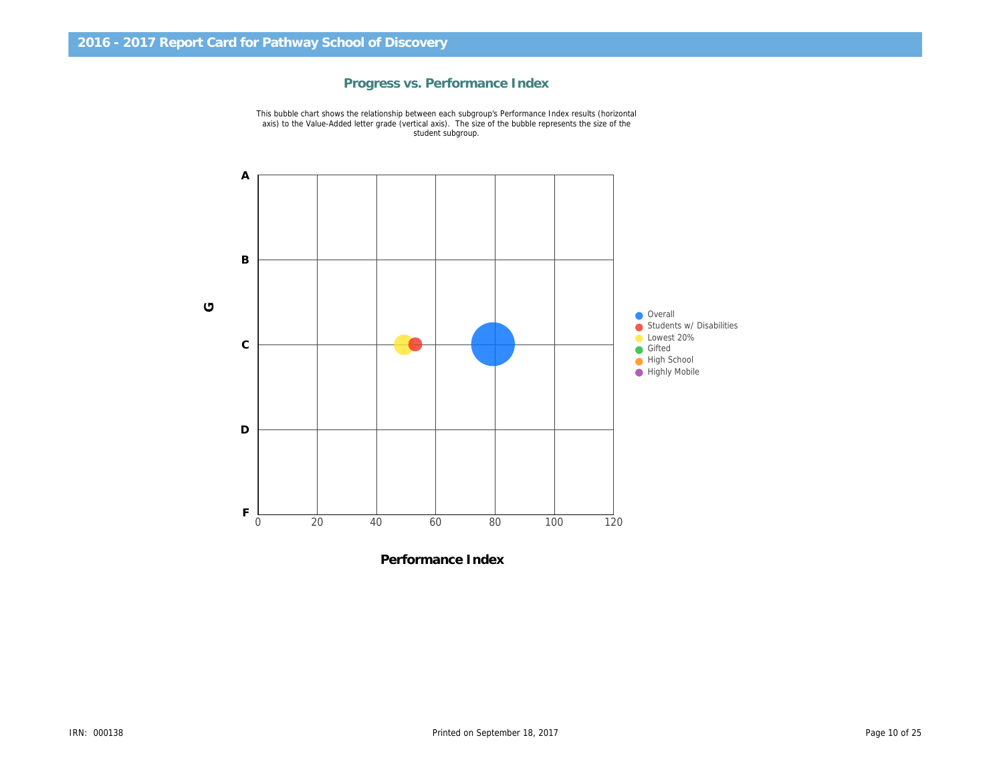## **Progress vs. Performance Index**

This bubble chart shows the relationship between each subgroup's Performance Index results (horizontal axis) to the Value-Added letter grade (vertical axis). The size of the bubble represents the size of the student subgroup.



**Performance Index**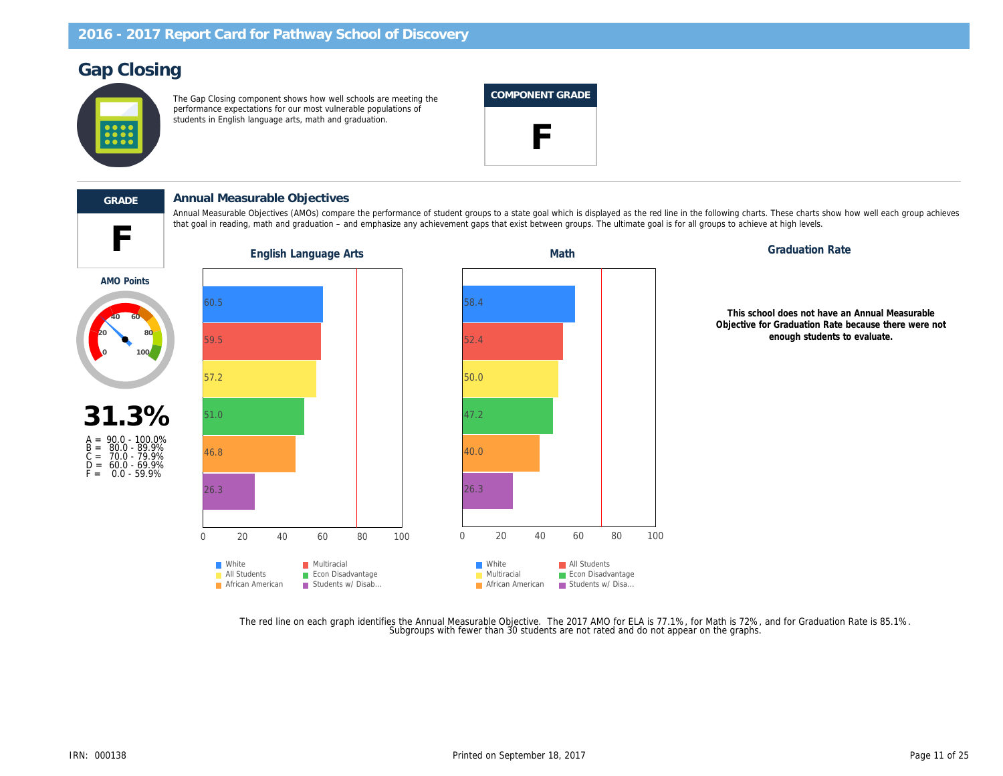## **Gap Closing**



The Gap Closing component shows how well schools are meeting the performance expectations for our most vulnerable populations of students in English language arts, math and graduation.

| COMPONENT GRADE |
|-----------------|
|                 |

that goal in reading, math and graduation – and emphasize any achievement gaps that exist between groups. The ultimate goal is for all groups to achieve at high levels.



Annual Measurable Objectives (AMOs) compare the performance of student groups to a state goal which is displayed as the red line in the following charts. These charts show how well each group achieves

**F GRADE Annual Measurable Objectives**







*This school does not have an Annual Measurable Objective for Graduation Rate because there were not enough students to evaluate.*

The red line on each graph identifies the Annual Measurable Objective. The 2017 AMO for ELA is 77.1%, for Math is 72%, and for Graduation Rate is 85.1%.<br>Subgroups with fewer than 30 students are not rated and do not appear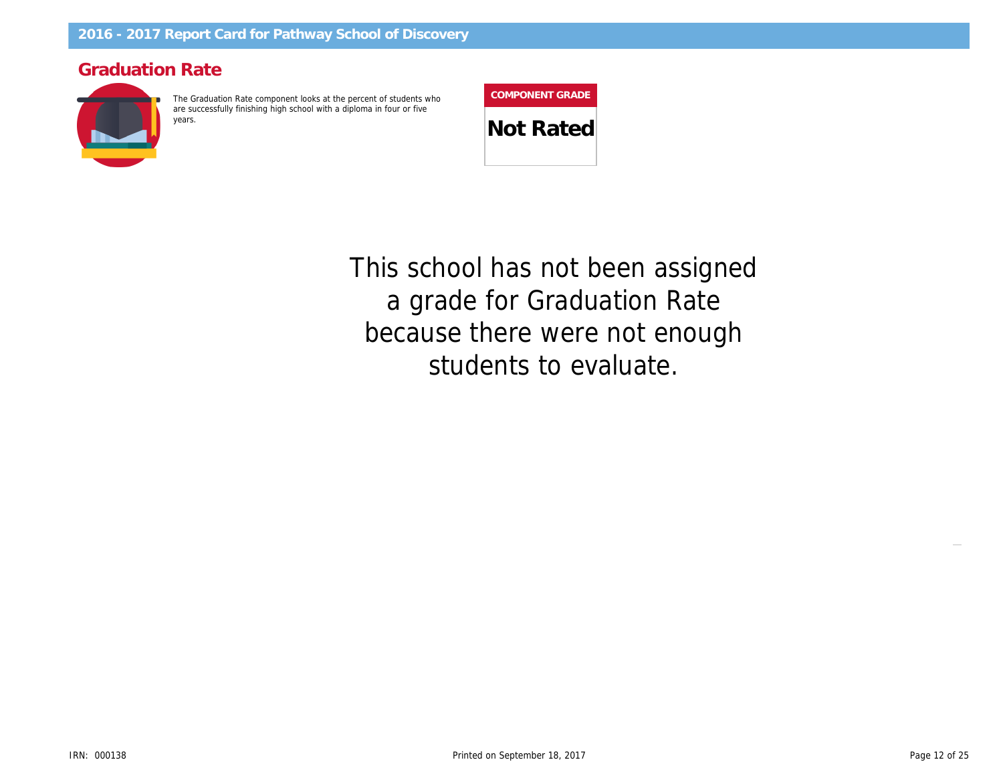## **Graduation Rate**



The Graduation Rate component looks at the percent of students who are successfully finishing high school with a diploma in four or five



students to evaluate. because there were not enough a grade for Graduation Rate <u>ب</u> ا **40 60 80** *This school has not been assigned*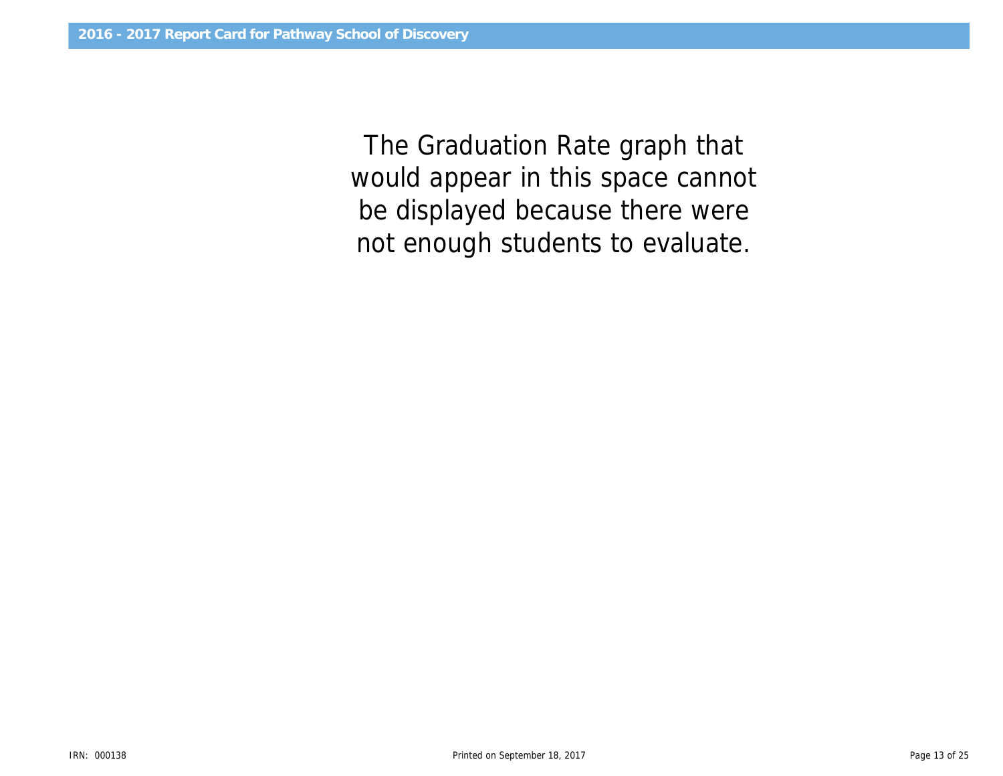would appear in this space cannot *The Graduation Rate graph that be displayed because there were not enough students to evaluate.*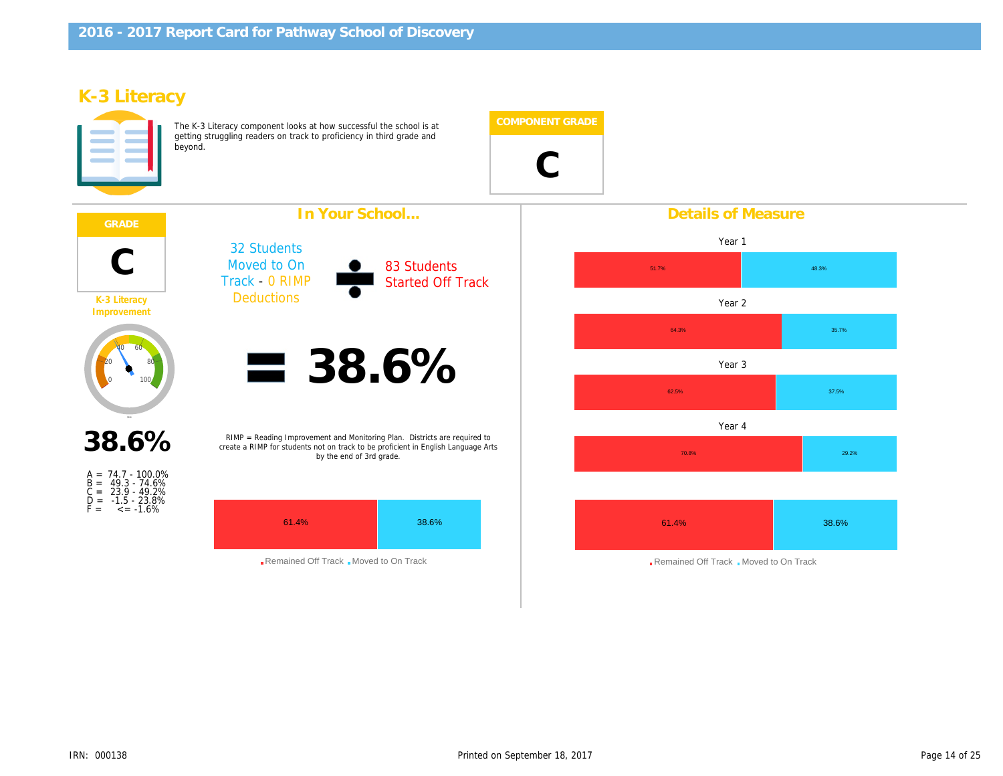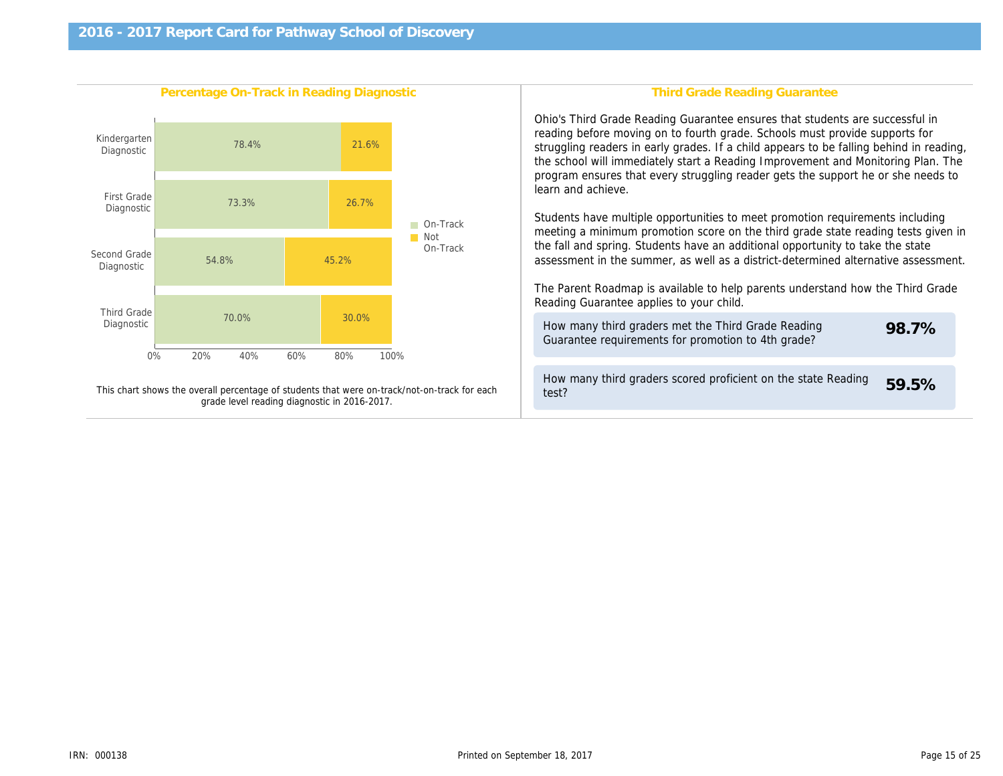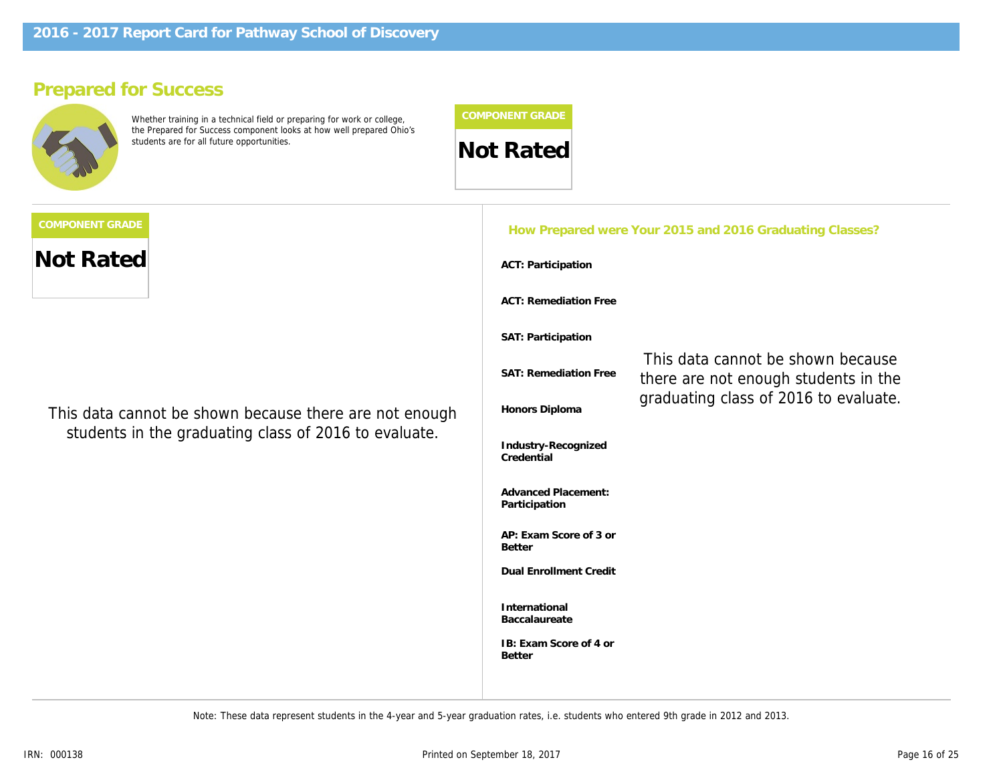## **Prepared for Success**



Whether training in a technical field or preparing for work or college, the Prepared for Success component looks at how well prepared Ohio's students are for all future opportunities. **Not Rated** 

**Not Rated**

of ho shown bocause that **count an additional 0.3 bonus points** *This data cannot be shown because there are not enough* students in the graduating class of 2016 to evaluate. **and also earned a 3 or higher on at**

| How Prepared were Your 2015 and 2016 Graduating Classes? |                                                                           |  |  |  |
|----------------------------------------------------------|---------------------------------------------------------------------------|--|--|--|
| ACT: Participation                                       |                                                                           |  |  |  |
| <b>ACT: Remediation Free</b>                             |                                                                           |  |  |  |
| SAT: Participation                                       |                                                                           |  |  |  |
| SAT: Remediation Free                                    | This data cannot be shown because<br>there are not enough students in the |  |  |  |
| Honors Diploma                                           | graduating class of 2016 to evaluate.                                     |  |  |  |
| Industry-Recognized<br>Credential                        |                                                                           |  |  |  |
| <b>Advanced Placement:</b><br>Participation              |                                                                           |  |  |  |
| AP: Exam Score of 3 or<br><b>Better</b>                  |                                                                           |  |  |  |
| <b>Dual Enrollment Credit</b>                            |                                                                           |  |  |  |
| International<br>Baccalaureate                           |                                                                           |  |  |  |
| IB: Exam Score of 4 or<br><b>Better</b>                  |                                                                           |  |  |  |
|                                                          |                                                                           |  |  |  |

*Note: These data represent students in the 4-year and 5-year graduation rates, i.e. students who entered 9th grade in 2012 and 2013.*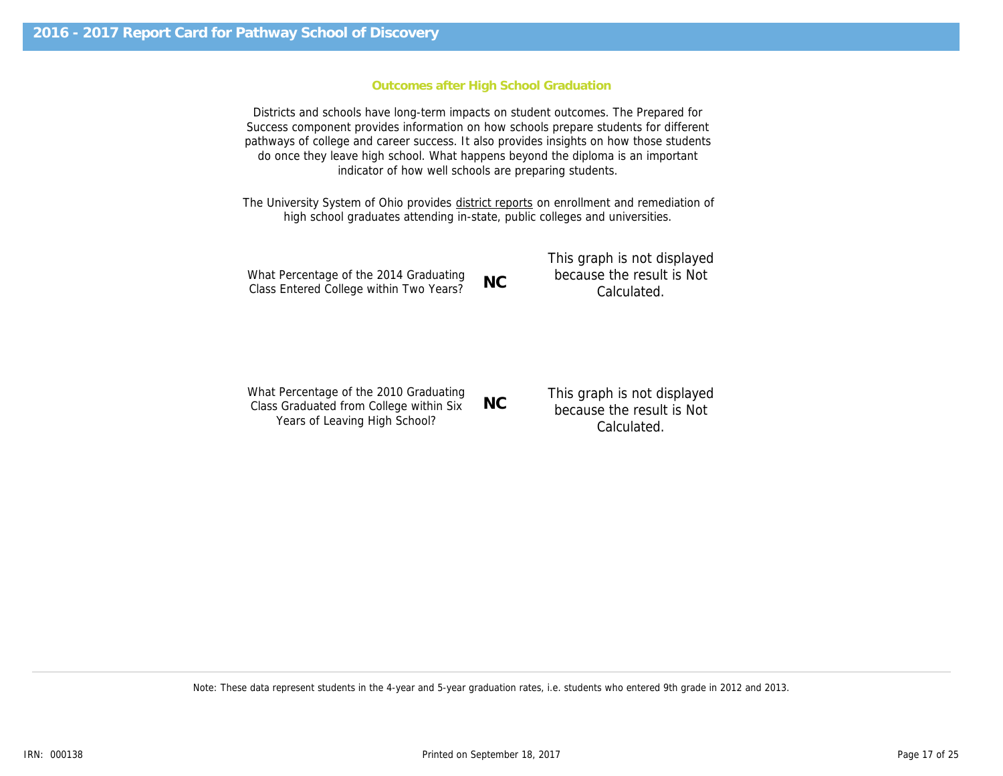#### **Outcomes after High School Graduation**

Districts and schools have long-term impacts on student outcomes. The Prepared for Success component provides information on how schools prepare students for different pathways of college and career success. It also provides insights on how those students do once they leave high school. What happens beyond the diploma is an important indicator of how well schools are preparing students.

The University System of Ohio provides district reports on enrollment and remediation of high school graduates attending in-state, public colleges and universities.

|                                         |           | This graph is not displayed |
|-----------------------------------------|-----------|-----------------------------|
| What Percentage of the 2014 Graduating  | <b>NC</b> | because the result is Not   |
| Class Entered College within Two Years? |           | Calculated.                 |

| Class Entered College within Two Years?                                                                            | INC.      | Calculated.                                                             |
|--------------------------------------------------------------------------------------------------------------------|-----------|-------------------------------------------------------------------------|
| What Percentage of the 2010 Graduating<br>Class Graduated from College within Six<br>Years of Leaving High School? | <b>NC</b> | This graph is not displayed<br>because the result is Not<br>Calculated. |

*Note: These data represent students in the 4-year and 5-year graduation rates, i.e. students who entered 9th grade in 2012 and 2013.*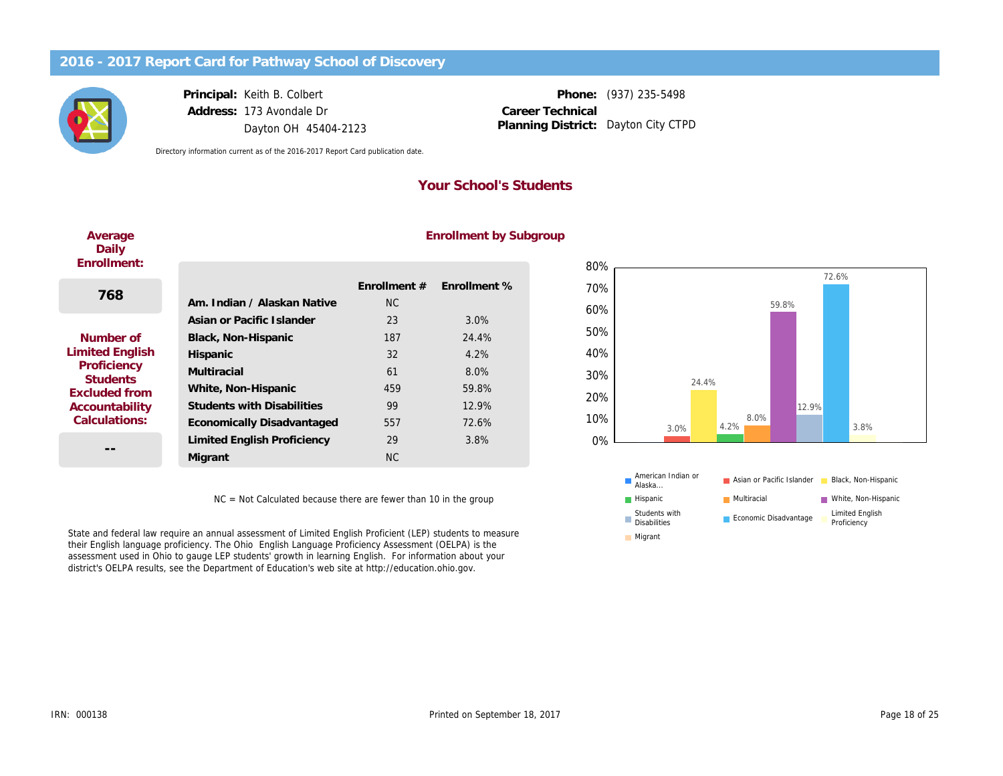

## **Principal:** Keith B. Colbert **Address:** 173 Avondale Dr Dayton OH 45404-2123

**Phone:** (937) 235-5498 Planning District: Dayton City CTPD **Career Technical**

*Directory information current as of the 2016-2017 Report Card publication date.*

## **Your School's Students**

#### **Average Daily Enroll**

### **Enrollment by Subgroup**

| Enrollment:                    |                                   |                |              |
|--------------------------------|-----------------------------------|----------------|--------------|
| 768                            |                                   | Enrollment $#$ | Enrollment % |
|                                | Am. Indian / Alaskan Native       | NC.            |              |
|                                | Asian or Pacific Islander         | 23             | 3.0%         |
| Number of                      | Black, Non-Hispanic               | 187            | 24.4%        |
| <b>Limited English</b>         | Hispanic                          | 32             | 4.2%         |
| Proficiency<br><b>Students</b> | Multiracial                       | 61             | $8.0\%$      |
| Excluded from                  | White, Non-Hispanic               | 459            | 59.8%        |
| Accountability                 | <b>Students with Disabilities</b> | 99             | 12.9%        |
| Calculations:                  | Economically Disadvantaged        | 557            | 72.6%        |
|                                | Limited English Proficiency       | 29             | 3.8%         |
|                                | Migrant                           | NC.            |              |

NC = Not Calculated because there are fewer than 10 in the group

State and federal law require an annual assessment of Limited English Proficient (LEP) students to measure their English language proficiency. The Ohio English Language Proficiency Assessment (OELPA) is the assessment used in Ohio to gauge LEP students' growth in learning English. For information about your district's OELPA results, see the Department of Education's web site at http://education.ohio.gov.



**Migrant**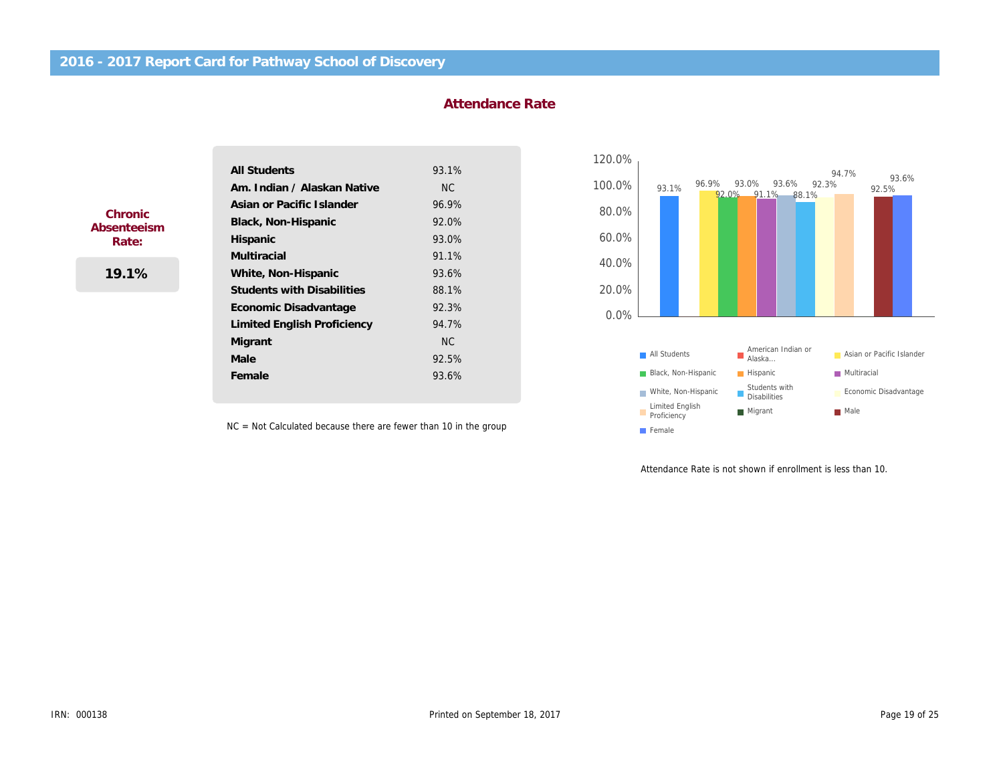**Female Male Migrant**

| All Students                      | 93.1% |
|-----------------------------------|-------|
| Am, Indian / Alaskan Native       | NC.   |
| Asian or Pacific Islander         | 96.9% |
| Black, Non-Hispanic               | 92.0% |
| Hispanic                          | 93.0% |
| Multiracial                       | 91.1% |
| White, Non-Hispanic               | 93.6% |
| <b>Students with Disabilities</b> | 88.1% |
| Economic Disadvantage             | 92.3% |
| Limited English Proficiency       | 94.7% |

NC 92.5% 93.6%

## **Attendance Rate**

| 120.0% |                                |                                           |                                  |
|--------|--------------------------------|-------------------------------------------|----------------------------------|
| 100.0% | 96.9%<br>93.1%                 | 93.0%<br>93.6%<br>$92.0\%$ 91.1%<br>88.1% | 94.7%<br>93.6%<br>92.3%<br>92.5% |
| 80.0%  |                                |                                           |                                  |
| 60.0%  |                                |                                           |                                  |
| 40.0%  |                                |                                           |                                  |
| 20.0%  |                                |                                           |                                  |
| 0.0%   |                                |                                           |                                  |
|        |                                |                                           |                                  |
|        | All Students                   | American Indian or<br>Alaska              | Asian or Pacific Islander        |
|        | Black, Non-Hispanic            | Hispanic                                  | Multiracial                      |
|        | White, Non-Hispanic            | Students with<br><b>Disabilities</b>      | Economic Disadvantage            |
|        | Limited English<br>Proficiency | Migrant                                   | Male                             |
|        | Female                         |                                           |                                  |

NC = Not Calculated because there are fewer than 10 in the group

Attendance Rate is not shown if enrollment is less than 10.

**Chronic Absenteeism Rate:**

**19.1%**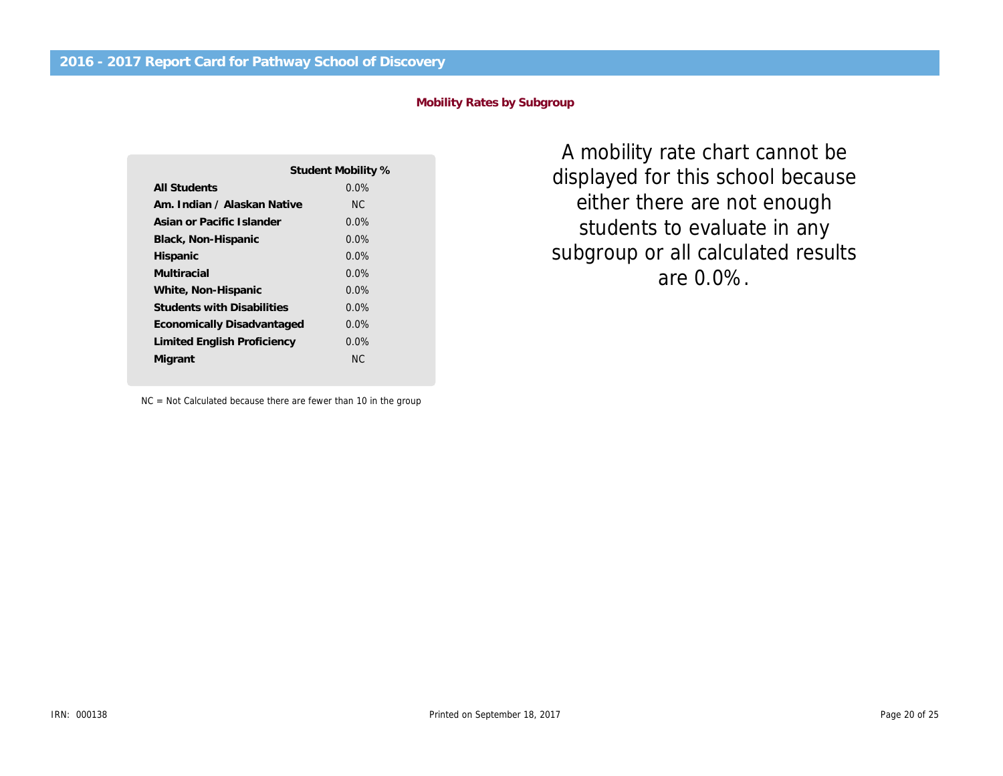**Mobility Rates by Subgroup**

|                                   | Student Mobility % |
|-----------------------------------|--------------------|
| All Students                      | $0.0\%$            |
| Am, Indian / Alaskan Native       | NC.                |
| Asian or Pacific Islander         | $0.0\%$            |
| Black, Non-Hispanic               | $0.0\%$            |
| Hispanic                          | $0.0\%$            |
| Multiracial                       | $0.0\%$            |
| White, Non-Hispanic               | $0.0\%$            |
| <b>Students with Disabilities</b> | $0.0\%$            |
| Economically Disadvantaged        | $0.0\%$            |
| Limited English Proficiency       | $0.0\%$            |
| Migrant                           | NC.                |
|                                   |                    |

NC = Not Calculated because there are fewer than 10 in the group

subgroup or all calculated results displayed for this school because 400% *A mobility rate chart cannot be* students to evaluate in any *either there are not enough are 0.0%.*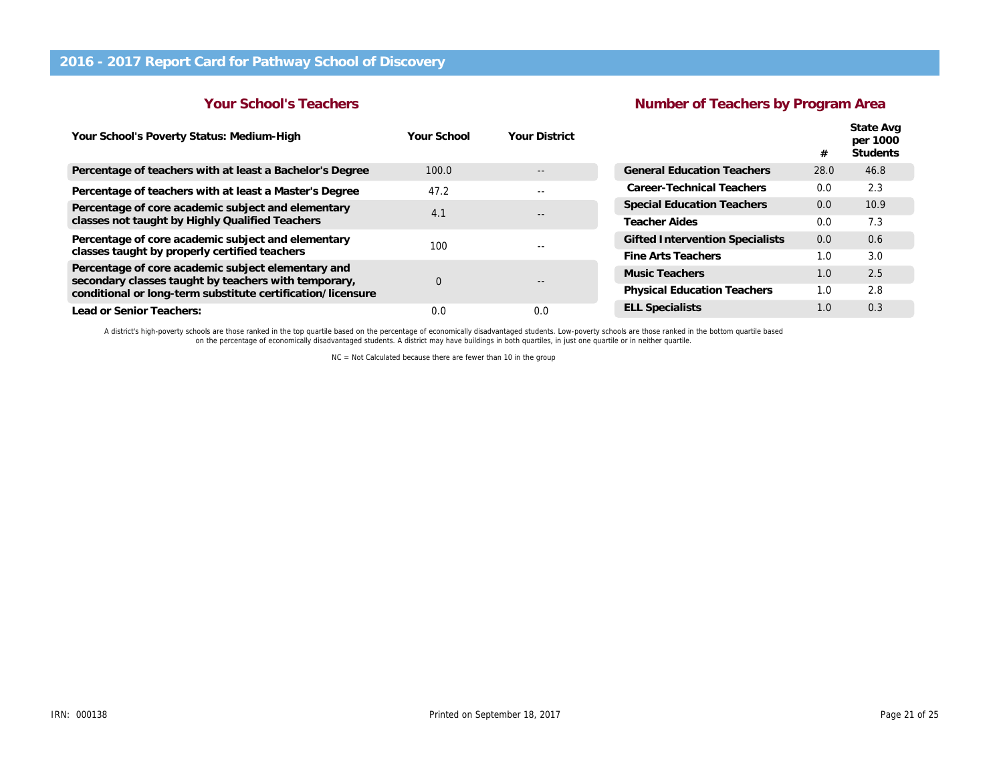## **Your School's Teachers**

## **Number of Teachers by Program Area**

| Your School's Poverty Status: Medium-High                                                                                                                                 | Your School | <b>Your District</b> |                                        | #    | State Avg<br>per 1000<br><b>Students</b> |
|---------------------------------------------------------------------------------------------------------------------------------------------------------------------------|-------------|----------------------|----------------------------------------|------|------------------------------------------|
| Percentage of teachers with at least a Bachelor's Degree                                                                                                                  | 100.0       | $- -$                | <b>General Education Teachers</b>      | 28.0 | 46.8                                     |
| Percentage of teachers with at least a Master's Degree                                                                                                                    | 47.2        | $- -$                | Career-Technical Teachers              | 0.0  | 2.3                                      |
| Percentage of core academic subject and elementary                                                                                                                        | 4.1         | $- -$                | <b>Special Education Teachers</b>      | 0.0  | 10.9                                     |
| classes not taught by Highly Qualified Teachers                                                                                                                           |             |                      | <b>Teacher Aides</b>                   | 0.0  | 7.3                                      |
| Percentage of core academic subject and elementary                                                                                                                        | 100         |                      | <b>Gifted Intervention Specialists</b> | 0.0  | 0.6                                      |
| classes taught by properly certified teachers                                                                                                                             |             |                      | Fine Arts Teachers                     | 1.0  | 3.0                                      |
| Percentage of core academic subject elementary and<br>secondary classes taught by teachers with temporary,<br>conditional or long-term substitute certification/licensure | $\Omega$    |                      | Music Teachers                         | 1.0  | 2.5                                      |
|                                                                                                                                                                           |             |                      | <b>Physical Education Teachers</b>     | 1.0  | 2.8                                      |
| Lead or Senior Teachers:                                                                                                                                                  | 0.0         | 0.0                  | <b>ELL Specialists</b>                 | 1.0  | 0.3                                      |

A district's high-poverty schools are those ranked in the top quartile based on the percentage of economically disadvantaged students. Low-poverty schools are those ranked in the bottom quartile based<br>on the percentage of

NC = Not Calculated because there are fewer than 10 in the group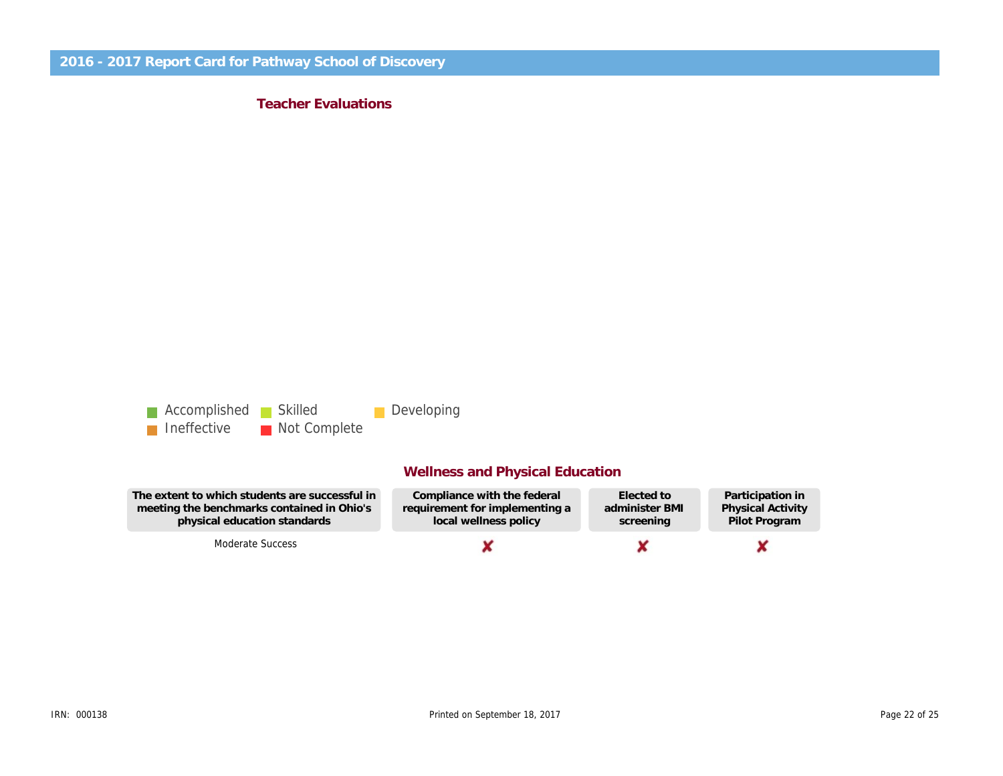**Teacher Evaluations**



## **Wellness and Physical Education**

| The extent to which students are successful in | Compliance with the federal    | Elected to     | Participation in         |
|------------------------------------------------|--------------------------------|----------------|--------------------------|
| meeting the benchmarks contained in Ohio's     | requirement for implementing a | administer BMI | <b>Physical Activity</b> |
| physical education standards                   | local wellness policy          | screening      | Pilot Program            |
| Moderate Success                               |                                |                |                          |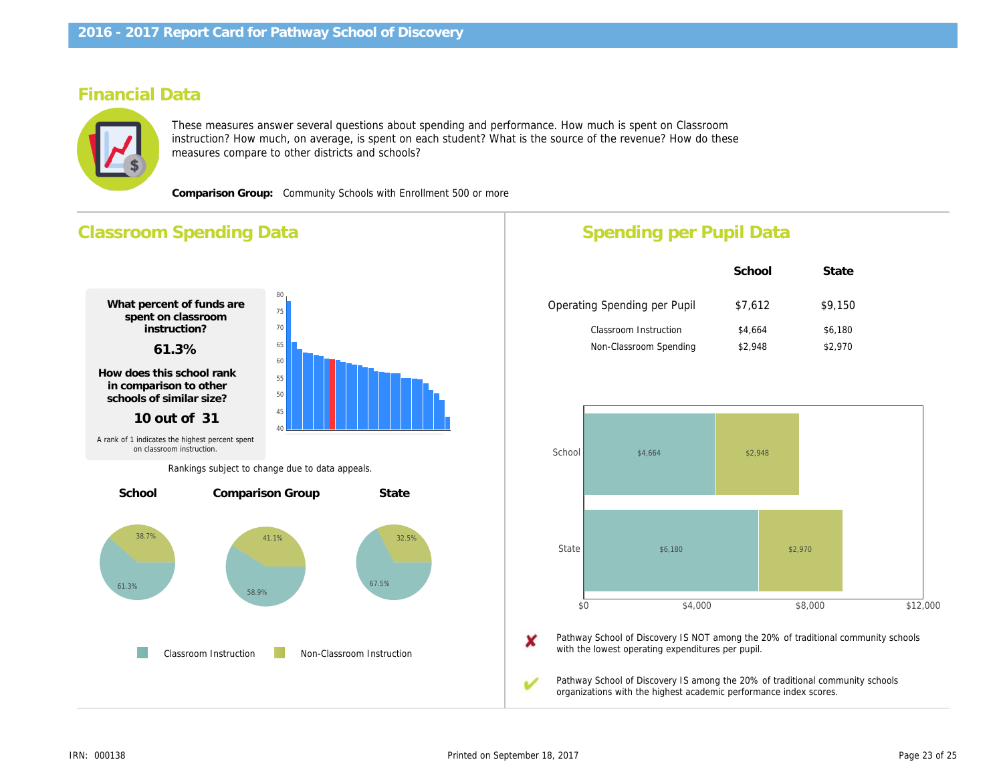## **Financial Data**



These measures answer several questions about spending and performance. How much is spent on Classroom instruction? How much, on average, is spent on each student? What is the source of the revenue? How do these measures compare to other districts and schools?

**Comparison Group:** Community Schools with Enrollment 500 or more



## **Spending per Pupil Data**

|                              | School  | State   |
|------------------------------|---------|---------|
| Operating Spending per Pupil | \$7,612 | \$9,150 |
| Classroom Instruction        | \$4,664 | \$6,180 |
| Non-Classroom Spending       | \$2,948 | \$2,970 |



X Pathway School of Discovery IS NOT among the 20% of traditional community schools with the lowest operating expenditures per pupil.

Pathway School of Discovery IS among the 20% of traditional community schools organizations with the highest academic performance index scores.

ممه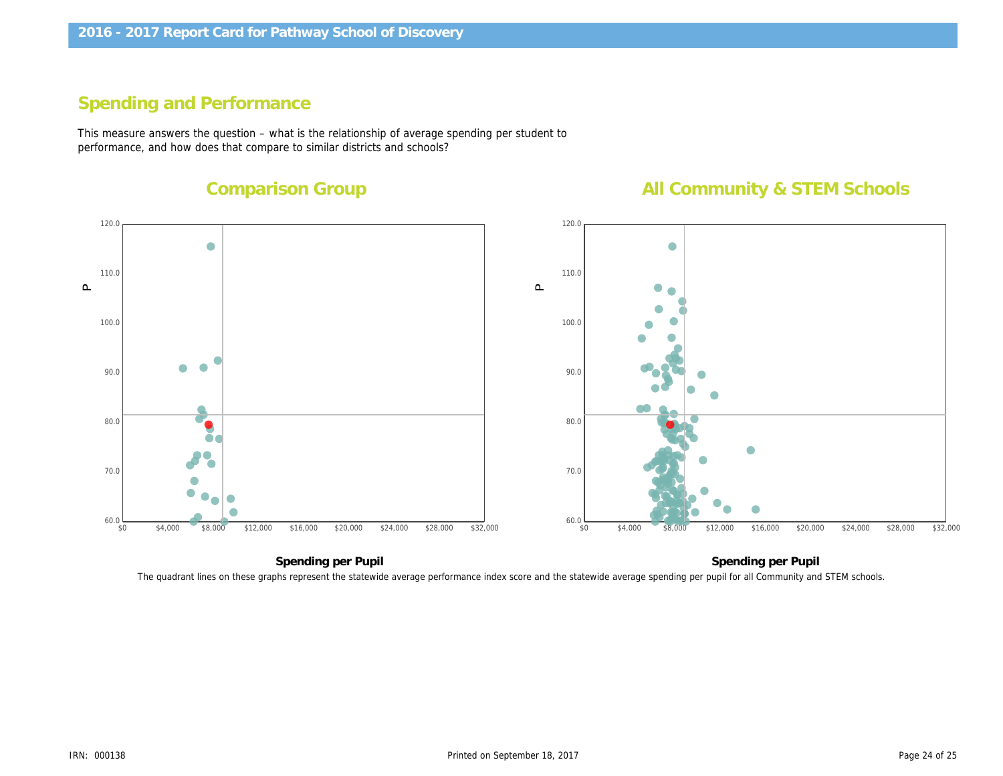## **Spending and Performance**

This measure answers the question – what is the relationship of average spending per student to performance, and how does that compare to similar districts and schools?

## **Comparison Group**

## **All Community & STEM Schools**



The quadrant lines on these graphs represent the statewide average performance index score and the statewide average spending per pupil for all Community and STEM schools.